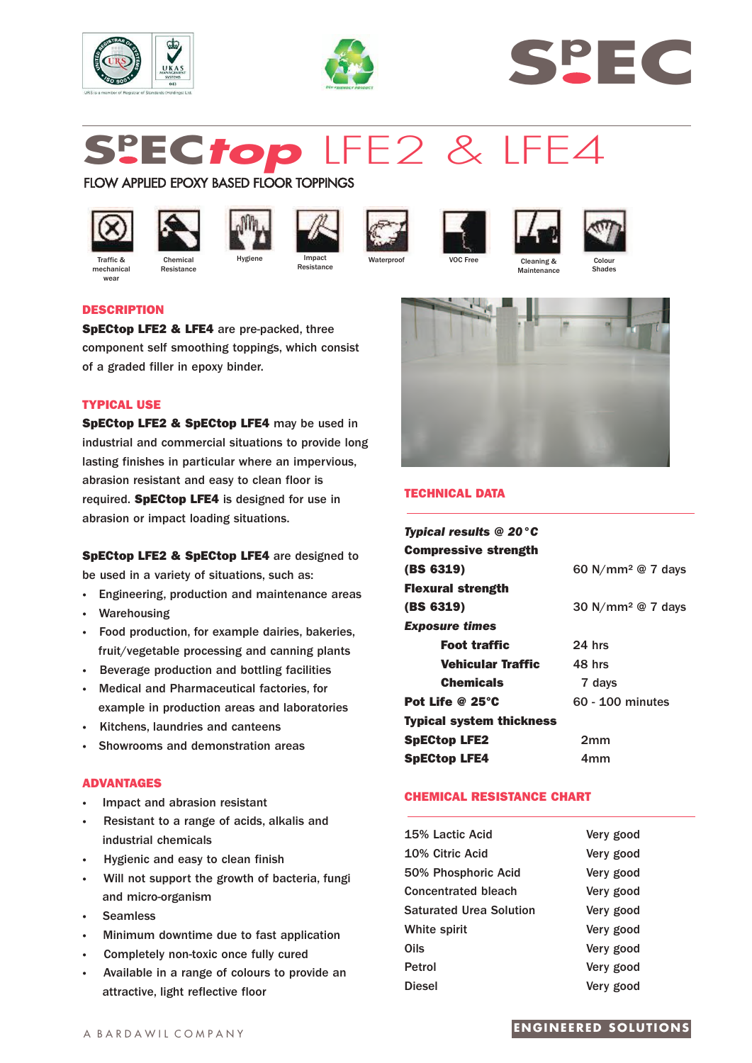





# **Sp EC***top* LFE2 & LFE4

# FLOW APPLIED EPOXY BASED FLOOR TOPPINGS



mechanica wear



**Resistance** 













**DESCRIPTION**

**SpECtop LFE2 & LFE4** are pre-packed, three component self smoothing toppings, which consist of a graded filler in epoxy binder.

# **TYPICAL USE**

**SpECtop LFE2 & SpECtop LFE4** may be used in industrial and commercial situations to provide long lasting finishes in particular where an impervious, abrasion resistant and easy to clean floor is required. **SpECtop LFE4** is designed for use in abrasion or impact loading situations.

**SpECtop LFE2 & SpECtop LFE4** are designed to be used in a variety of situations, such as:

- **·** Engineering, production and maintenance areas
- **·** Warehousing
- **·** Food production, for example dairies, bakeries, fruit/vegetable processing and canning plants
- **·** Beverage production and bottling facilities
- **·** Medical and Pharmaceutical factories, for example in production areas and laboratories
- **·** Kitchens, laundries and canteens
- **·** Showrooms and demonstration areas

# **ADVANTAGES**

- **·** Impact and abrasion resistant
- **·** Resistant to a range of acids, alkalis and industrial chemicals
- **·** Hygienic and easy to clean finish
- **·** Will not support the growth of bacteria, fungi and micro-organism
- **·** Seamless
- **·** Minimum downtime due to fast application
- Completely non-toxic once fully cured
- **·** Available in a range of colours to provide an attractive, light reflective floor



**Maintenance** 

# **TECHNICAL DATA**

| <b>Typical results @ 20<math>^{\circ}</math>C</b> |                                 |
|---------------------------------------------------|---------------------------------|
| <b>Compressive strength</b>                       |                                 |
| (BS 6319)                                         | 60 N/mm <sup>2</sup> $@$ 7 days |
| <b>Flexural strength</b>                          |                                 |
| (BS 6319)                                         | 30 N/mm <sup>2</sup> @ 7 days   |
| <b>Exposure times</b>                             |                                 |
| <b>Foot traffic</b>                               | $24$ hrs                        |
| Vehicular Traffic                                 | 48 hrs                          |
| <b>Chemicals</b>                                  | 7 days                          |
| Pot Life @ $25^{\circ}$ C                         | 60 - 100 minutes                |
| <b>Typical system thickness</b>                   |                                 |
| <b>SpECtop LFE2</b>                               | 2mm                             |
| <b>SpECtop LFE4</b>                               | 4mm                             |

# **CHEMICAL RESISTANCE CHART**

| 15% Lactic Acid                | Very good |
|--------------------------------|-----------|
| 10% Citric Acid                | Very good |
| 50% Phosphoric Acid            | Very good |
| <b>Concentrated bleach</b>     | Very good |
| <b>Saturated Urea Solution</b> | Very good |
| White spirit                   | Very good |
| Oils                           | Very good |
| Petrol                         | Very good |
| <b>Diesel</b>                  | Very good |

# **ENGINEERED SOLUTIONS**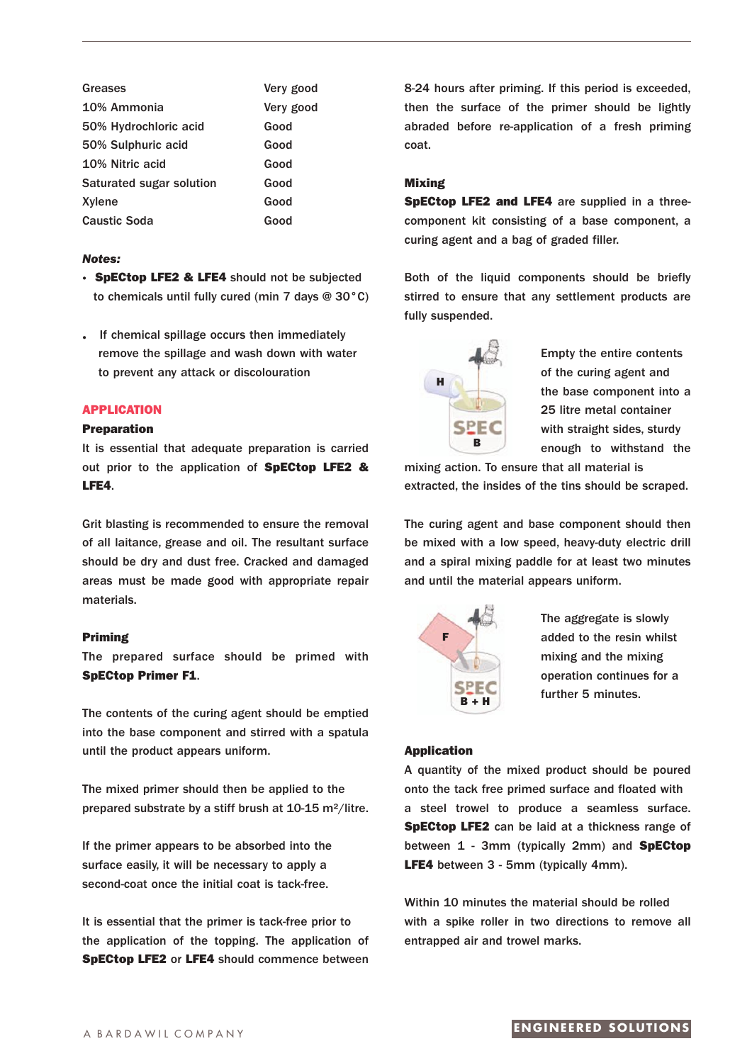| Greases                  | Very good |
|--------------------------|-----------|
| 10% Ammonia              | Very good |
| 50% Hydrochloric acid    | Good      |
| 50% Sulphuric acid       | Good      |
| 10% Nitric acid          | Good      |
| Saturated sugar solution | Good      |
| Xylene                   | Good      |
| <b>Caustic Soda</b>      | Good      |

## *Notes:*

- **· SpECtop LFE2 & LFE4** should not be subjected to chemicals until fully cured (min 7 days @ 30°C)
- **.** If chemical spillage occurs then immediately remove the spillage and wash down with water to prevent any attack or discolouration

## **APPLICATION**

## **Preparation**

It is essential that adequate preparation is carried out prior to the application of **SpECtop LFE2 & LFE4**.

Grit blasting is recommended to ensure the removal of all laitance, grease and oil. The resultant surface should be dry and dust free. Cracked and damaged areas must be made good with appropriate repair materials.

#### **Priming**

The prepared surface should be primed with **SpECtop Primer F1**.

The contents of the curing agent should be emptied into the base component and stirred with a spatula until the product appears uniform.

The mixed primer should then be applied to the prepared substrate by a stiff brush at 10-15 m²/litre.

If the primer appears to be absorbed into the surface easily, it will be necessary to apply a second-coat once the initial coat is tack-free.

It is essential that the primer is tack-free prior to the application of the topping. The application of **SpECtop LFE2** or **LFE4** should commence between 8-24 hours after priming. If this period is exceeded, then the surface of the primer should be lightly abraded before re-application of a fresh priming coat.

### **Mixing**

**SpECtop LFE2 and LFE4** are supplied in a threecomponent kit consisting of a base component, a curing agent and a bag of graded filler.

Both of the liquid components should be briefly stirred to ensure that any settlement products are fully suspended.



Empty the entire contents of the curing agent and the base component into a 25 litre metal container with straight sides, sturdy enough to withstand the

mixing action. To ensure that all material is extracted, the insides of the tins should be scraped.

The curing agent and base component should then be mixed with a low speed, heavy-duty electric drill and a spiral mixing paddle for at least two minutes and until the material appears uniform.



The aggregate is slowly added to the resin whilst mixing and the mixing operation continues for a further 5 minutes.

## **Application**

A quantity of the mixed product should be poured onto the tack free primed surface and floated with a steel trowel to produce a seamless surface. **SpECtop LFE2** can be laid at a thickness range of between 1 - 3mm (typically 2mm) and **SpECtop LFE4** between 3 - 5mm (typically 4mm).

Within 10 minutes the material should be rolled with a spike roller in two directions to remove all entrapped air and trowel marks.

# A BARDAWIL COMPANY **ENGINEERED SOLUTIONS**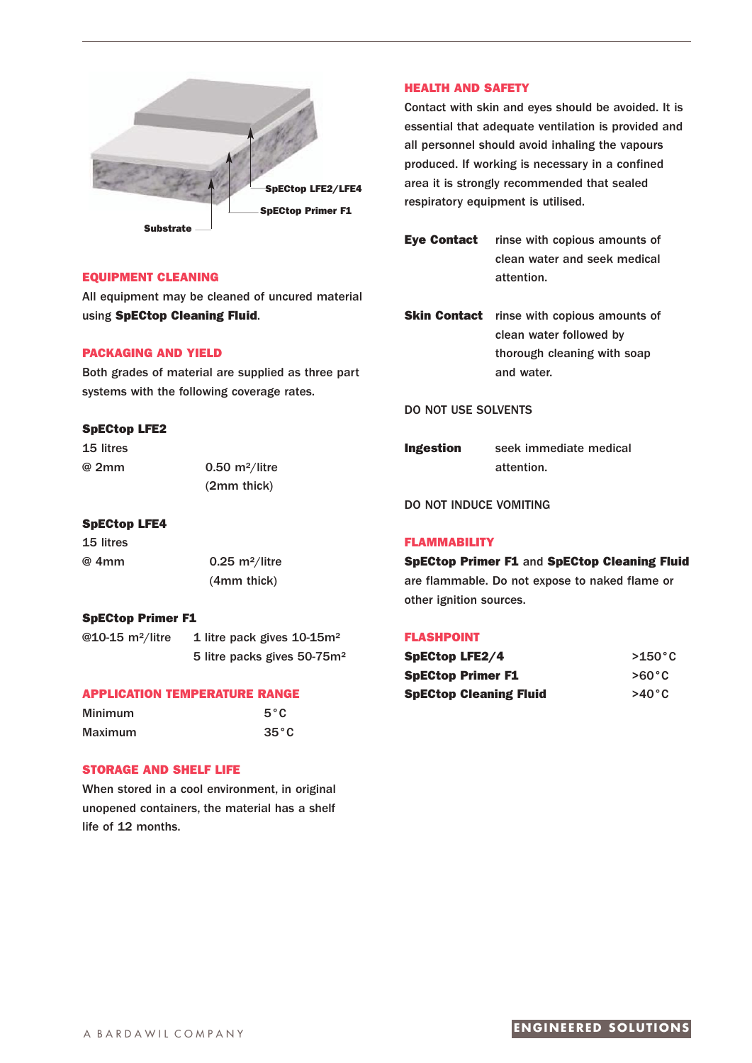

## **EQUIPMENT CLEANING**

All equipment may be cleaned of uncured material using **SpECtop Cleaning Fluid**.

# **PACKAGING AND YIELD**

Both grades of material are supplied as three part systems with the following coverage rates.

## **SpECtop LFE2**

15 litres

@ 2mm 0.50 m²/litre (2mm thick)

## **SpECtop LFE4**

15 litres @ 4mm 0.25 m²/litre

(4mm thick)

## **SpECtop Primer F1**

@10-15 m<sup>2</sup>/litre 1 litre pack gives 10-15m<sup>2</sup> 5 litre packs gives 50-75m²

### **APPLICATION TEMPERATURE RANGE**

| <b>Minimum</b> | $5^{\circ}$ C  |
|----------------|----------------|
| <b>Maximum</b> | $35^{\circ}$ C |

# **STORAGE AND SHELF LIFE**

When stored in a cool environment, in original unopened containers, the material has a shelf life of 12 months.

## **HEALTH AND SAFETY**

Contact with skin and eyes should be avoided. It is essential that adequate ventilation is provided and all personnel should avoid inhaling the vapours produced. If working is necessary in a confined area it is strongly recommended that sealed respiratory equipment is utilised.

**Eye Contact** rinse with copious amounts of clean water and seek medical attention.

**Skin Contact** rinse with copious amounts of clean water followed by thorough cleaning with soap and water.

## DO NOT USE SOLVENTS

**Ingestion** seek immediate medical attention.

## DO NOT INDUCE VOMITING

#### **FLAMMABILITY**

**SpECtop Primer F1** and **SpECtop Cleaning Fluid** are flammable. Do not expose to naked flame or other ignition sources.

#### **FLASHPOINT**

| <b>SpECtop LFE2/4</b>         | $>150^{\circ}$ C |
|-------------------------------|------------------|
| <b>SpECtop Primer F1</b>      | $>60^{\circ}$ C  |
| <b>SpECtop Cleaning Fluid</b> | $>40^{\circ}$ C  |

# A BARDAWII COMPANY **ENGINEERED SOLUTIONS**